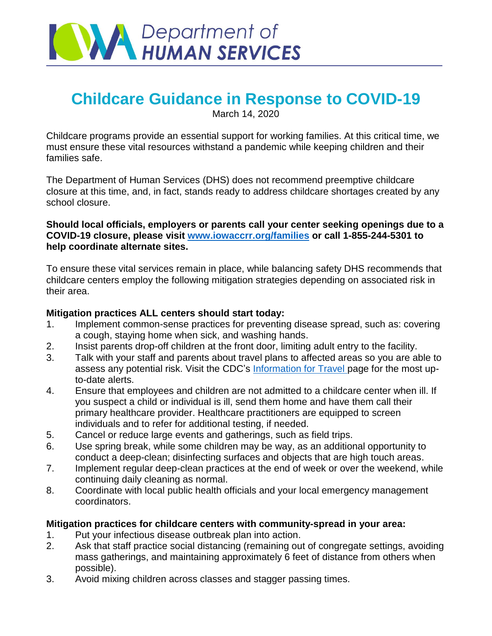

# **Childcare Guidance in Response to COVID-19**

March 14, 2020

Childcare programs provide an essential support for working families. At this critical time, we must ensure these vital resources withstand a pandemic while keeping children and their families safe.

The Department of Human Services (DHS) does not recommend preemptive childcare closure at this time, and, in fact, stands ready to address childcare shortages created by any school closure.

#### **Should local officials, employers or parents call your center seeking openings due to a COVID-19 closure, please visit [www.iowaccrr.org/families](http://www.iowaccrr.org/families) or call 1-855-244-5301 to help coordinate alternate sites.**

To ensure these vital services remain in place, while balancing safety DHS recommends that childcare centers employ the following mitigation strategies depending on associated risk in their area.

### **Mitigation practices ALL centers should start today:**

- 1. Implement common-sense practices for preventing disease spread, such as: covering a cough, staying home when sick, and washing hands.
- 2. Insist parents drop-off children at the front door, limiting adult entry to the facility.
- 3. Talk with your staff and parents about travel plans to affected areas so you are able to assess any potential risk. Visit the CDC's [Information for Travel](https://www.cdc.gov/coronavirus/2019-ncov/travelers/index.html) page for the most upto-date alerts.
- 4. Ensure that employees and children are not admitted to a childcare center when ill. If you suspect a child or individual is ill, send them home and have them call their primary healthcare provider. Healthcare practitioners are equipped to screen individuals and to refer for additional testing, if needed.
- 5. Cancel or reduce large events and gatherings, such as field trips.
- 6. Use spring break, while some children may be way, as an additional opportunity to conduct a deep-clean; disinfecting surfaces and objects that are high touch areas.
- 7. Implement regular deep-clean practices at the end of week or over the weekend, while continuing daily cleaning as normal.
- 8. Coordinate with local public health officials and your local emergency management coordinators.

## **Mitigation practices for childcare centers with community-spread in your area:**

- 1. Put your infectious disease outbreak plan into action.
- 2. Ask that staff practice social distancing (remaining out of congregate settings, avoiding mass gatherings, and maintaining approximately 6 feet of distance from others when possible).
- 3. Avoid mixing children across classes and stagger passing times.